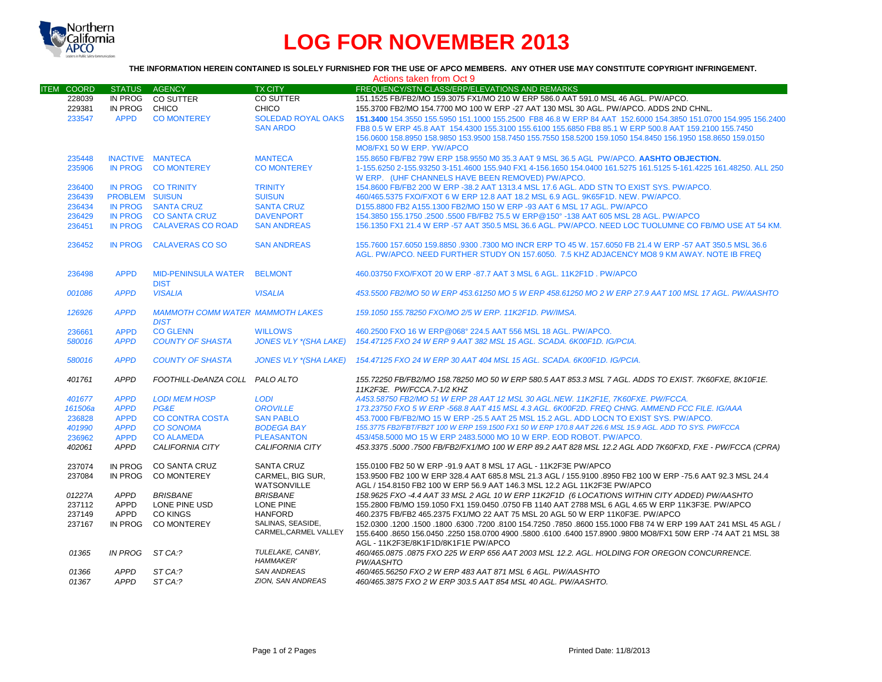

# **LOG FOR NOVEMBER 2013**

## **THE INFORMATION HEREIN CONTAINED IS SOLELY FURNISHED FOR THE USE OF APCO MEMBERS. ANY OTHER USE MAY CONSTITUTE COPYRIGHT INFRINGEMENT.**

|                   |                     |                                                        |                                                             | Actions taken from Oct 9                                                                                                                                                                                                                                                                                                                                            |
|-------------------|---------------------|--------------------------------------------------------|-------------------------------------------------------------|---------------------------------------------------------------------------------------------------------------------------------------------------------------------------------------------------------------------------------------------------------------------------------------------------------------------------------------------------------------------|
| <b>ITEM COORD</b> | <b>STATUS</b>       | <b>AGENCY</b>                                          | <b>TX CITY</b>                                              | FREQUENCY/STN CLASS/ERP/ELEVATIONS AND REMARKS                                                                                                                                                                                                                                                                                                                      |
| 228039            | IN PROG             | CO SUTTER                                              | CO SUTTER                                                   | 151.1525 FB/FB2/MO 159.3075 FX1/MO 210 W ERP 586.0 AAT 591.0 MSL 46 AGL. PW/APCO.                                                                                                                                                                                                                                                                                   |
| 229381            | IN PROG CHICO       |                                                        | <b>CHICO</b>                                                | 155.3700 FB2/MO 154.7700 MO 100 W ERP -27 AAT 130 MSL 30 AGL. PW/APCO, ADDS 2ND CHNL.                                                                                                                                                                                                                                                                               |
| 233547            | <b>APPD</b>         | <b>CO MONTEREY</b>                                     | <b>SOLEDAD ROYAL OAKS</b><br><b>SAN ARDO</b>                | 151,3400 154,3550 155,5950 151,1000 155,2500 FB8 46.8 W ERP 84 AAT 152,6000 154,3850 151,0700 154,995 156,2400<br>FB8 0.5 W ERP 45.8 AAT 154.4300 155.3100 155.6100 155.6850 FB8 85.1 W ERP 500.8 AAT 159.2100 155.7450<br>156,0600 158,8950 158,9850 153,9500 158,7450 155,7550 158,5200 159,1050 154,8450 156,1950 158,8650 159,0150<br>MO8/FX1 50 W ERP. YW/APCO |
| 235448            |                     | <b>INACTIVE MANTECA</b>                                | <b>MANTECA</b>                                              | 155.8650 FB/FB2 79W ERP 158.9550 M0 35.3 AAT 9 MSL 36.5 AGL PW/APCO. AASHTO OBJECTION.                                                                                                                                                                                                                                                                              |
| 235906            | <b>IN PROG</b>      | <b>CO MONTEREY</b>                                     | <b>CO MONTEREY</b>                                          | 1-155.6250 2-155.93250 3-151.4600 155.940 FX1 4-156.1650 154.0400 161.5275 161.5125 5-161.4225 161.48250. ALL 250<br>W ERP. (UHF CHANNELS HAVE BEEN REMOVED) PW/APCO.                                                                                                                                                                                               |
| 236400            |                     | IN PROG CO TRINITY                                     | <b>TRINITY</b>                                              | 154.8600 FB/FB2 200 W ERP -38.2 AAT 1313.4 MSL 17.6 AGL. ADD STN TO EXIST SYS. PW/APCO.                                                                                                                                                                                                                                                                             |
| 236439            | PROBLEM SUISUN      |                                                        | <b>SUISUN</b>                                               | 460/465.5375 FXO/FXOT 6 W ERP 12.8 AAT 18.2 MSL 6.9 AGL, 9K65F1D, NEW, PW/APCO,                                                                                                                                                                                                                                                                                     |
| 236434            | <b>IN PROG</b>      | <b>SANTA CRUZ</b>                                      | <b>SANTA CRUZ</b>                                           | D155.8800 FB2 A155.1300 FB2/MO 150 W ERP -93 AAT 6 MSL 17 AGL. PW/APCO                                                                                                                                                                                                                                                                                              |
| 236429            | IN PROG             | <b>CO SANTA CRUZ</b>                                   | <b>DAVENPORT</b>                                            | 154.3850 155.1750 .2500 .5500 FB/FB2 75.5 W ERP@150° -138 AAT 605 MSL 28 AGL. PW/APCO                                                                                                                                                                                                                                                                               |
| 236451            | <b>IN PROG</b>      | <b>CALAVERAS CO ROAD</b>                               | <b>SAN ANDREAS</b>                                          | 156.1350 FX1 21.4 W ERP -57 AAT 350.5 MSL 36.6 AGL. PW/APCO. NEED LOC TUOLUMNE CO FB/MO USE AT 54 KM.                                                                                                                                                                                                                                                               |
| 236452            | <b>IN PROG</b>      | <b>CALAVERAS CO SO</b>                                 | <b>SAN ANDREAS</b>                                          | 155.7600 157.6050 159.8850 .9300 .7300 MO INCR ERP TO 45 W. 157.6050 FB 21.4 W ERP -57 AAT 350.5 MSL 36.6<br>AGL, PW/APCO, NEED FURTHER STUDY ON 157,6050, 7.5 KHZ ADJACENCY MO8 9 KM AWAY, NOTE IB FREQ                                                                                                                                                            |
| 236498            | <b>APPD</b>         | <b>MID-PENINSULA WATER</b><br><b>DIST</b>              | <b>BELMONT</b>                                              | 460.03750 FXO/FXOT 20 W ERP -87.7 AAT 3 MSL 6 AGL, 11K2F1D, PW/APCO                                                                                                                                                                                                                                                                                                 |
| 001086            | <b>APPD</b>         | <b>VISALIA</b>                                         | <b>VISALIA</b>                                              | 453.5500 FB2/MO 50 W ERP 453.61250 MO 5 W ERP 458.61250 MO 2 W ERP 27.9 AAT 100 MSL 17 AGL. PW/AASHTO                                                                                                                                                                                                                                                               |
| 126926            | <b>APPD</b>         | <b>MAMMOTH COMM WATER MAMMOTH LAKES</b><br><b>DIST</b> |                                                             | 159.1050 155.78250 FXO/MO 2/5 W ERP. 11K2F1D. PW/IMSA.                                                                                                                                                                                                                                                                                                              |
| 236661            | <b>APPD</b>         | <b>CO GLENN</b>                                        | <b>WILLOWS</b>                                              | 460.2500 FXO 16 W ERP@068° 224.5 AAT 556 MSL 18 AGL, PW/APCO.                                                                                                                                                                                                                                                                                                       |
| 580016            | <b>APPD</b>         | <b>COUNTY OF SHASTA</b>                                | <b>JONES VLY *(SHA LAKE)</b>                                | 154.47125 FXO 24 W ERP 9 AAT 382 MSL 15 AGL. SCADA. 6K00F1D. IG/PCIA.                                                                                                                                                                                                                                                                                               |
| 580016            | <b>APPD</b>         | <b>COUNTY OF SHASTA</b>                                | <b>JONES VLY *(SHA LAKE)</b>                                | 154.47125 FXO 24 W ERP 30 AAT 404 MSL 15 AGL. SCADA. 6K00F1D. IG/PCIA.                                                                                                                                                                                                                                                                                              |
| 401761            | <b>APPD</b>         | FOOTHILL-DeANZA COLL PALO ALTO                         |                                                             | 155.72250 FB/FB2/MO 158.78250 MO 50 W ERP 580.5 AAT 853.3 MSL 7 AGL. ADDS TO EXIST. 7K60FXE, 8K10F1E.<br>11K2F3E. PW/FCCA.7-1/2 KHZ                                                                                                                                                                                                                                 |
| 401677            | <b>APPD</b>         | <b>LODI MEM HOSP</b>                                   | <b>LODI</b>                                                 | A453.58750 FB2/MO 51 W ERP 28 AAT 12 MSL 30 AGL.NEW. 11K2F1E, 7K60FXE. PW/FCCA.                                                                                                                                                                                                                                                                                     |
| 161506a           | <b>APPD</b>         | PG&E                                                   | <b>OROVILLE</b>                                             | 173.23750 FXO 5 W ERP -568.8 AAT 415 MSL 4.3 AGL. 6K00F2D. FREQ CHNG. AMMEND FCC FILE. IG/AAA                                                                                                                                                                                                                                                                       |
| 236828            | <b>APPD</b>         | <b>CO CONTRA COSTA</b>                                 | <b>SAN PABLO</b>                                            | 453,7000 FB/FB2/MO 15 W ERP -25.5 AAT 25 MSL 15.2 AGL. ADD LOCN TO EXIST SYS. PW/APCO.                                                                                                                                                                                                                                                                              |
| 401990            | <b>APPD</b>         | <b>CO SONOMA</b>                                       | <b>BODEGA BAY</b>                                           | 155.3775 FB2/FBT/FB2T 100 W ERP 159.1500 FX1 50 W ERP 170.8 AAT 226.6 MSL 15.9 AGL. ADD TO SYS. PW/FCCA                                                                                                                                                                                                                                                             |
| 236962            | <b>APPD</b>         | <b>CO ALAMEDA</b>                                      | <b>PLEASANTON</b>                                           | 453/458.5000 MO 15 W ERP 2483.5000 MO 10 W ERP. EOD ROBOT. PW/APCO.                                                                                                                                                                                                                                                                                                 |
| 402061            | <b>APPD</b>         | <b>CALIFORNIA CITY</b>                                 | CALIFORNIA CITY                                             | 453.3375 .5000 .7500 FB/FB2/FX1/MO 100 W ERP 89.2 AAT 828 MSL 12.2 AGL ADD 7K60FXD. FXE - PW/FCCA (CPRA)                                                                                                                                                                                                                                                            |
| 237074<br>237084  | IN PROG<br>IN PROG  | <b>CO SANTA CRUZ</b><br><b>CO MONTEREY</b>             | <b>SANTA CRUZ</b><br>CARMEL, BIG SUR,<br><b>WATSONVILLE</b> | 155,0100 FB2 50 W ERP -91.9 AAT 8 MSL 17 AGL - 11K2F3E PW/APCO<br>153,9500 FB2 100 W ERP 328.4 AAT 685.8 MSL 21.3 AGL / 155,9100 8950 FB2 100 W ERP -75.6 AAT 92.3 MSL 24.4<br>AGL / 154.8150 FB2 100 W ERP 56.9 AAT 146.3 MSL 12.2 AGL 11K2F3E PW/APCO                                                                                                             |
| 01227A            | <b>APPD</b>         | <b>BRISBANE</b>                                        | <b>BRISBANE</b>                                             | 158.9625 FXO -4.4 AAT 33 MSL 2 AGL 10 W ERP 11K2F1D (6 LOCATIONS WITHIN CITY ADDED) PW/AASHTO                                                                                                                                                                                                                                                                       |
| 237112            | APPD                | LONE PINE USD                                          | LONE PINE                                                   | 155.2800 FB/MO 159.1050 FX1 159.0450 .0750 FB 1140 AAT 2788 MSL 6 AGL 4.65 W ERP 11K3F3E. PW/APCO                                                                                                                                                                                                                                                                   |
| 237149            | APPD                | <b>CO KINGS</b>                                        | <b>HANFORD</b>                                              | 460.2375 FB/FB2 465.2375 FX1/MO 22 AAT 75 MSL 20 AGL 50 W ERP 11K0F3E. PW/APCO                                                                                                                                                                                                                                                                                      |
| 237167            | IN PROG             | <b>CO MONTEREY</b>                                     | SALINAS, SEASIDE,<br>CARMEL, CARMEL VALLEY                  | 152,0300 1200 1500 1600 165.1000 FB8 74 W ERP 199 AAT 241 MSL 45 AGL / 152,0300 155.1000 FB8 74 W ERP 199 AAT<br>155.6400 .8650 156.0450 .2250 158.0700 4900 .5800 .6100 .6400 157.8900 .9800 MO8/FX1 50W ERP -74 AAT 21 MSL 38<br>AGL - 11K2F3E/8K1F1D/8K1F1E PW/APCO                                                                                              |
| 01365             | <b>IN PROG</b>      | ST CA:?                                                | TULELAKE, CANBY,<br><b>HAMMAKER'</b>                        | 460/465.0875 .0875 FXO 225 W ERP 656 AAT 2003 MSL 12.2. AGL. HOLDING FOR OREGON CONCURRENCE.<br>PW/AASHTO                                                                                                                                                                                                                                                           |
| 01366<br>01367    | <b>APPD</b><br>APPD | ST CA:?<br>ST CA:?                                     | <b>SAN ANDREAS</b><br>ZION, SAN ANDREAS                     | 460/465.56250 FXO 2 W ERP 483 AAT 871 MSL 6 AGL. PW/AASHTO<br>460/465.3875 FXO 2 W ERP 303.5 AAT 854 MSL 40 AGL, PW/AASHTO,                                                                                                                                                                                                                                         |